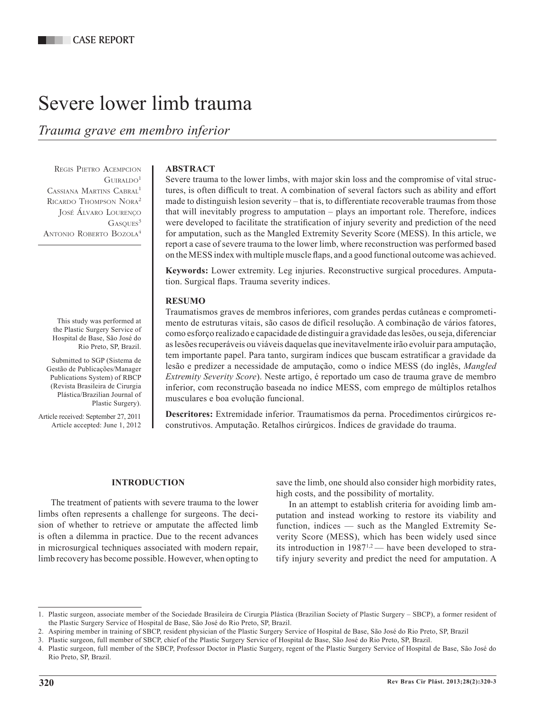# Severe lower limb trauma

*Trauma grave em membro inferior*

Regis Pietro Acempcion  $G$ URALDO<sup>1</sup> Cassiana Martins Cabral1 RICARDO THOMPSON NORA<sup>2</sup> José Álvaro Lourenço  $GASOUES<sup>3</sup>$ ANTONIO ROBERTO BOZOLA<sup>4</sup>

This study was performed at the Plastic Surgery Service of Hospital de Base, São José do Rio Preto, SP, Brazil.

Submitted to SGP (Sistema de Gestão de Publicações/Manager Publications System) of RBCP (Revista Brasileira de Cirurgia Plástica/Brazilian Journal of Plastic Surgery).

Article received: September 27, 2011 Article accepted: June 1, 2012

# **ABSTRACT**

Severe trauma to the lower limbs, with major skin loss and the compromise of vital structures, is often difficult to treat. A combination of several factors such as ability and effort made to distinguish lesion severity – that is, to differentiate recoverable traumas from those that will inevitably progress to amputation – plays an important role. Therefore, indices were developed to facilitate the stratification of injury severity and prediction of the need for amputation, such as the Mangled Extremity Severity Score (MESS). In this article, we report a case of severe trauma to the lower limb, where reconstruction was performed based on the MESS index with multiple muscle flaps, and a good functional outcome was achieved.

**Keywords:** Lower extremity. Leg injuries. Reconstructive surgical procedures. Amputation. Surgical flaps. Trauma severity indices.

## **RESUMO**

Traumatismos graves de membros inferiores, com grandes perdas cutâneas e comprometimento de estruturas vitais, são casos de difícil resolução. A combinação de vários fatores, como esforço realizado e capacidade de distinguir a gravidade das lesões, ou seja, diferenciar as lesões recuperáveis ou viáveis daquelas que inevitavelmente irão evoluir para amputação, tem importante papel. Para tanto, surgiram índices que buscam estratificar a gravidade da lesão e predizer a necessidade de amputação, como o índice MESS (do inglês, *Mangled Extremity Severity Score*). Neste artigo, é reportado um caso de trauma grave de membro inferior, com reconstrução baseada no índice MESS, com emprego de múltiplos retalhos musculares e boa evolução funcional.

**Descritores:** Extremidade inferior. Traumatismos da perna. Procedimentos cirúrgicos reconstrutivos. Amputação. Retalhos cirúrgicos. Índices de gravidade do trauma.

#### **INTRODUCTION**

The treatment of patients with severe trauma to the lower limbs often represents a challenge for surgeons. The decision of whether to retrieve or amputate the affected limb is often a dilemma in practice. Due to the recent advances in microsurgical techniques associated with modern repair, limb recovery has become possible. However, when opting to

save the limb, one should also consider high morbidity rates, high costs, and the possibility of mortality.

In an attempt to establish criteria for avoiding limb amputation and instead working to restore its viability and function, indices — such as the Mangled Extremity Severity Score (MESS), which has been widely used since its introduction in 19871,2 — have been developed to stratify injury severity and predict the need for amputation. A

<sup>1.</sup> Plastic surgeon, associate member of the Sociedade Brasileira de Cirurgia Plástica (Brazilian Society of Plastic Surgery – SBCP), a former resident of the Plastic Surgery Service of Hospital de Base, São José do Rio Preto, SP, Brazil.

<sup>2.</sup> Aspiring member in training of SBCP, resident physician of the Plastic Surgery Service of Hospital de Base, São José do Rio Preto, SP, Brazil

<sup>3.</sup> Plastic surgeon, full member of SBCP, chief of the Plastic Surgery Service of Hospital de Base, São José do Rio Preto, SP, Brazil.

<sup>4.</sup> Plastic surgeon, full member of the SBCP, Professor Doctor in Plastic Surgery, regent of the Plastic Surgery Service of Hospital de Base, São José do Rio Preto, SP, Brazil.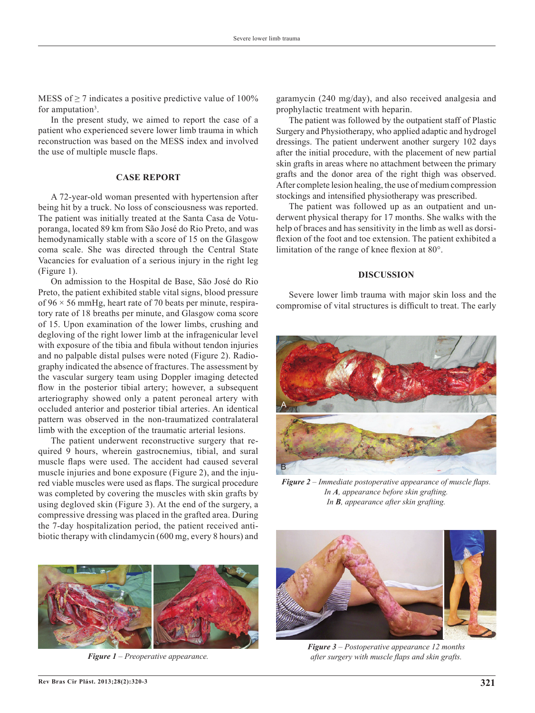MESS of  $\geq$  7 indicates a positive predictive value of 100% for amputation<sup>3</sup>.

In the present study, we aimed to report the case of a patient who experienced severe lower limb trauma in which reconstruction was based on the MESS index and involved the use of multiple muscle flaps.

### **CASE REPORT**

A 72-year-old woman presented with hypertension after being hit by a truck. No loss of consciousness was reported. The patient was initially treated at the Santa Casa de Votuporanga, located 89 km from São José do Rio Preto, and was hemodynamically stable with a score of 15 on the Glasgow coma scale. She was directed through the Central State Vacancies for evaluation of a serious injury in the right leg (Figure 1).

On admission to the Hospital de Base, São José do Rio Preto, the patient exhibited stable vital signs, blood pressure of  $96 \times 56$  mmHg, heart rate of 70 beats per minute, respiratory rate of 18 breaths per minute, and Glasgow coma score of 15. Upon examination of the lower limbs, crushing and degloving of the right lower limb at the infragenicular level with exposure of the tibia and fibula without tendon injuries and no palpable distal pulses were noted (Figure 2). Radiography indicated the absence of fractures. The assessment by the vascular surgery team using Doppler imaging detected flow in the posterior tibial artery; however, a subsequent arteriography showed only a patent peroneal artery with occluded anterior and posterior tibial arteries. An identical pattern was observed in the non-traumatized contralateral limb with the exception of the traumatic arterial lesions.

The patient underwent reconstructive surgery that required 9 hours, wherein gastrocnemius, tibial, and sural muscle flaps were used. The accident had caused several muscle injuries and bone exposure (Figure 2), and the injured viable muscles were used as flaps. The surgical procedure was completed by covering the muscles with skin grafts by using degloved skin (Figure 3). At the end of the surgery, a compressive dressing was placed in the grafted area. During the 7-day hospitalization period, the patient received antibiotic therapy with clindamycin (600 mg, every 8 hours) and



*Figure 1 – Preoperative appearance.*

garamycin (240 mg/day), and also received analgesia and prophylactic treatment with heparin.

The patient was followed by the outpatient staff of Plastic Surgery and Physiotherapy, who applied adaptic and hydrogel dressings. The patient underwent another surgery 102 days after the initial procedure, with the placement of new partial skin grafts in areas where no attachment between the primary grafts and the donor area of the right thigh was observed. After complete lesion healing, the use of medium compression stockings and intensified physiotherapy was prescribed.

The patient was followed up as an outpatient and underwent physical therapy for 17 months. She walks with the help of braces and has sensitivity in the limb as well as dorsiflexion of the foot and toe extension. The patient exhibited a limitation of the range of knee flexion at 80°.

#### **DISCUSSION**

Severe lower limb trauma with major skin loss and the compromise of vital structures is difficult to treat. The early



*Figure 2 – Immediate postoperative appearance of muscle flaps. In A, appearance before skin grafting. In B, appearance after skin grafting.* 



*Figure 3 – Postoperative appearance 12 months after surgery with muscle flaps and skin grafts.*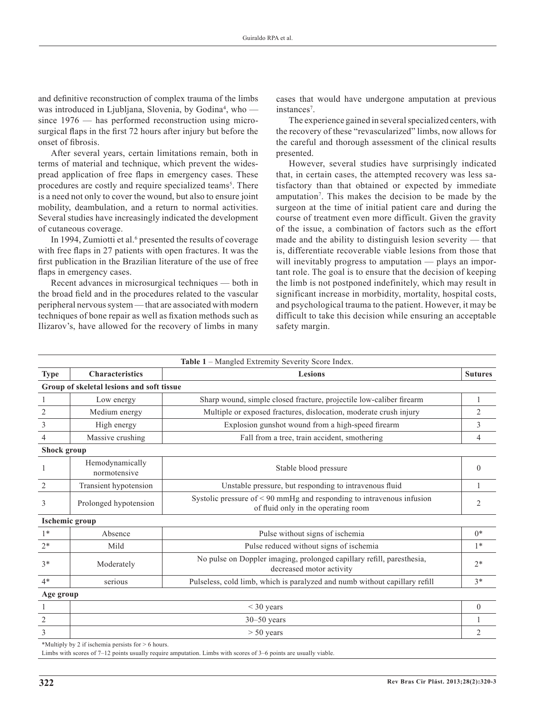and definitive reconstruction of complex trauma of the limbs was introduced in Ljubljana, Slovenia, by Godina<sup>4</sup>, who since 1976 — has performed reconstruction using microsurgical flaps in the first 72 hours after injury but before the onset of fibrosis.

After several years, certain limitations remain, both in terms of material and technique, which prevent the widespread application of free flaps in emergency cases. These procedures are costly and require specialized teams<sup>5</sup>. There is a need not only to cover the wound, but also to ensure joint mobility, deambulation, and a return to normal activities. Several studies have increasingly indicated the development of cutaneous coverage.

In 1994, Zumiotti et al.<sup>6</sup> presented the results of coverage with free flaps in 27 patients with open fractures. It was the first publication in the Brazilian literature of the use of free flaps in emergency cases.

Recent advances in microsurgical techniques — both in the broad field and in the procedures related to the vascular peripheral nervous system — that are associated with modern techniques of bone repair as well as fixation methods such as Ilizarov's, have allowed for the recovery of limbs in many

cases that would have undergone amputation at previous instances<sup>7</sup>.

The experience gained in several specialized centers, with the recovery of these "revascularized" limbs, now allows for the careful and thorough assessment of the clinical results presented.

However, several studies have surprisingly indicated that, in certain cases, the attempted recovery was less satisfactory than that obtained or expected by immediate amputation<sup>7</sup>. This makes the decision to be made by the surgeon at the time of initial patient care and during the course of treatment even more difficult. Given the gravity of the issue, a combination of factors such as the effort made and the ability to distinguish lesion severity — that is, differentiate recoverable viable lesions from those that will inevitably progress to amputation — plays an important role. The goal is to ensure that the decision of keeping the limb is not postponed indefinitely, which may result in significant increase in morbidity, mortality, hospital costs, and psychological trauma to the patient. However, it may be difficult to take this decision while ensuring an acceptable safety margin.

|                |                                           | Table 1 - Mangled Extremity Severity Score Index.                                                                 |                |
|----------------|-------------------------------------------|-------------------------------------------------------------------------------------------------------------------|----------------|
| <b>Type</b>    | <b>Characteristics</b>                    | <b>Lesions</b>                                                                                                    | <b>Sutures</b> |
|                | Group of skeletal lesions and soft tissue |                                                                                                                   |                |
| 1              | Low energy                                | Sharp wound, simple closed fracture, projectile low-caliber firearm                                               |                |
| $\overline{c}$ | Medium energy                             | Multiple or exposed fractures, dislocation, moderate crush injury                                                 | 2              |
| $\overline{3}$ | High energy                               | Explosion gunshot wound from a high-speed firearm                                                                 | 3              |
| $\overline{4}$ | Massive crushing                          | Fall from a tree, train accident, smothering                                                                      | $\overline{4}$ |
| Shock group    |                                           |                                                                                                                   |                |
| 1              | Hemodynamically<br>normotensive           | Stable blood pressure                                                                                             | $\Omega$       |
| 2              | Transient hypotension                     | Unstable pressure, but responding to intravenous fluid                                                            |                |
| 3              | Prolonged hypotension                     | Systolic pressure of $\leq 90$ mmHg and responding to intravenous infusion<br>of fluid only in the operating room | 2              |
|                | <b>Ischemic group</b>                     |                                                                                                                   |                |
| $1*$           | Absence                                   | Pulse without signs of ischemia                                                                                   | $0*$           |
| $2*$           | Mild                                      | Pulse reduced without signs of ischemia                                                                           | $1*$           |
| $3*$           | Moderately                                | No pulse on Doppler imaging, prolonged capillary refill, paresthesia,<br>decreased motor activity                 | $2*$           |
| $4*$           | serious                                   | Pulseless, cold limb, which is paralyzed and numb without capillary refill                                        | $3*$           |
| Age group      |                                           |                                                                                                                   |                |
|                | $<$ 30 years                              |                                                                                                                   | $\overline{0}$ |
| $\overline{2}$ | $30 - 50$ years                           |                                                                                                                   |                |
| 3              | $> 50$ years                              |                                                                                                                   | $\overline{2}$ |

\*Multiply by 2 if ischemia persists for > 6 hours.

Limbs with scores of 7–12 points usually require amputation. Limbs with scores of 3–6 points are usually viable.